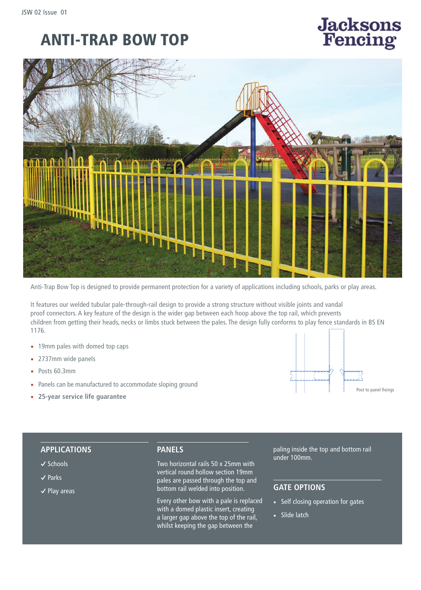# ANTI-TRAP BOW TOP





Anti-Trap Bow Top is designed to provide permanent protection for a variety of applications including schools, parks or play areas.

It features our welded tubular pale-through-rail design to provide a strong structure without visible joints and vandal proof connectors. A key feature of the design is the wider gap between each hoop above the top rail, which prevents children from getting their heads, necks or limbs stuck between the pales. The design fully conforms to play fence standards in BS EN 1176.

- 19mm pales with domed top caps
- 2737mm wide panels
- Posts 60.3mm
- Panels can be manufactured to accommodate sloping ground
- **25-year service life guarantee**



### **APPLICATIONS**

#### **�** Schools

- **�** Parks
- **�** Play areas

#### **PANELS**

Two horizontal rails 50 x 25mm with vertical round hollow section 19mm pales are passed through the top and bottom rail welded into position.

Every other bow with a pale is replaced with a domed plastic insert, creating a larger gap above the top of the rail, whilst keeping the gap between the

paling inside the top and bottom rail under 100mm.

# **GATE OPTIONS**

- **•** Self closing operation for gates
- **•** Slide latch